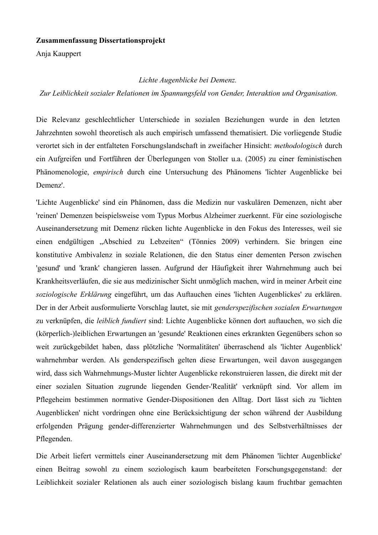### Zusammenfassung Dissertationsprojekt

Anja Kauppert

Lichte Augenblicke bei Demenz.

Zur Leiblichkeit sozialer Relationen im Spannungsfeld von Gender, Interaktion und Organisation.

Die Relevanz geschlechtlicher Unterschiede in sozialen Beziehungen wurde in den letzten Jahrzehnten sowohl theoretisch als auch empirisch umfassend thematisiert. Die vorliegende Studie verortet sich in der entfalteten Forschungslandschaft in zweifacher Hinsicht: methodologisch durch ein Aufgreifen und Fortführen der Überlegungen von Stoller u.a. (2005) zu einer feministischen Phänomenologie, *empirisch* durch eine Untersuchung des Phänomens 'lichter Augenblicke bei Demenz'.

'Lichte Augenblicke' sind ein Phänomen, dass die Medizin nur vaskulären Demenzen, nicht aber 'reinen' Demenzen beispielsweise vom Typus Morbus Alzheimer zuerkennt. Für eine soziologische Auseinandersetzung mit Demenz rücken lichte Augenblicke in den Fokus des Interesses, weil sie einen endgültigen "Abschied zu Lebzeiten" (Tönnies 2009) verhindern. Sie bringen eine konstitutive Ambivalenz in soziale Relationen, die den Status einer dementen Person zwischen 'gesund' und 'krank' changieren lassen. Aufgrund der Häufigkeit ihrer Wahrnehmung auch bei Krankheitsverläufen, die sie aus medizinischer Sicht unmöglich machen, wird in meiner Arbeit eine soziologische Erklärung eingeführt, um das Auftauchen eines 'lichten Augenblickes' zu erklären. Der in der Arbeit ausformulierte Vorschlag lautet, sie mit genderspezifischen sozialen Erwartungen zu verknüpfen, die leiblich fundiert sind: Lichte Augenblicke können dort auftauchen, wo sich die (körperlich-)leiblichen Erwartungen an 'gesunde' Reaktionen eines erkrankten Gegenübers schon so weit zurückgebildet haben, dass plötzliche 'Normalitäten' überraschend als 'lichter Augenblick' wahrnehmbar werden. Als genderspezifisch gelten diese Erwartungen, weil davon ausgegangen wird, dass sich Wahrnehmungs-Muster lichter Augenblicke rekonstruieren lassen, die direkt mit der einer sozialen Situation zugrunde liegenden Gender-'Realität' verknüpft sind. Vor allem im Pflegeheim bestimmen normative Gender-Dispositionen den Alltag. Dort lässt sich zu 'lichten Augenblicken' nicht vordringen ohne eine Berücksichtigung der schon während der Ausbildung erfolgenden Prägung gender-differenzierter Wahrnehmungen und des Selbstverhältnisses der Pflegenden.

Die Arbeit liefert vermittels einer Auseinandersetzung mit dem Phänomen 'lichter Augenblicke' einen Beitrag sowohl zu einem soziologisch kaum bearbeiteten Forschungsgegenstand: der Leiblichkeit sozialer Relationen als auch einer soziologisch bislang kaum fruchtbar gemachten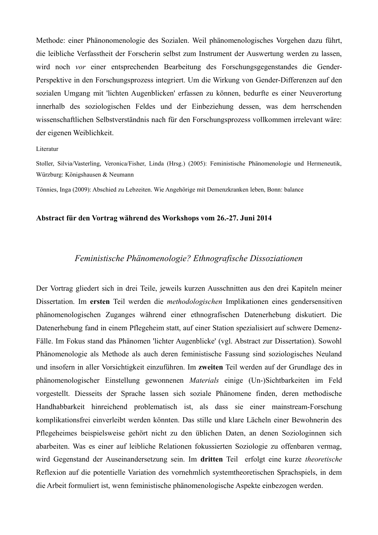Methode: einer Phänonomenologie des Sozialen. Weil phänomenologisches Vorgehen dazu führt, die leibliche Verfasstheit der Forscherin selbst zum Instrument der Auswertung werden zu lassen, wird noch vor einer entsprechenden Bearbeitung des Forschungsgegenstandes die Gender-Perspektive in den Forschungsprozess integriert. Um die Wirkung von Gender-Differenzen auf den sozialen Umgang mit 'lichten Augenblicken' erfassen zu können, bedurfte es einer Neuverortung innerhalb des soziologischen Feldes und der Einbeziehung dessen, was dem herrschenden wissenschaftlichen Selbstverständnis nach für den Forschungsprozess vollkommen irrelevant wäre: der eigenen Weiblichkeit.

#### Literatur

Stoller, Silvia/Vasterling, Veronica/Fisher, Linda (Hrsg.) (2005): Feministische Phänomenologie und Hermeneutik, Würzburg: Königshausen & Neumann

Tönnies, Inga (2009): Abschied zu Lebzeiten. Wie Angehörige mit Demenzkranken leben, Bonn: balance

### Abstract für den Vortrag während des Workshops vom 26.-27. Juni 2014

# Feministische Phänomenologie? Ethnografische Dissoziationen

Der Vortrag gliedert sich in drei Teile, jeweils kurzen Ausschnitten aus den drei Kapiteln meiner Dissertation. Im ersten Teil werden die methodologischen Implikationen eines gendersensitiven phänomenologischen Zuganges während einer ethnografischen Datenerhebung diskutiert. Die Datenerhebung fand in einem Pflegeheim statt, auf einer Station spezialisiert auf schwere Demenz-Fälle. Im Fokus stand das Phänomen 'lichter Augenblicke' (vgl. Abstract zur Dissertation). Sowohl Phänomenologie als Methode als auch deren feministische Fassung sind soziologisches Neuland und insofern in aller Vorsichtigkeit einzuführen. Im zweiten Teil werden auf der Grundlage des in phänomenologischer Einstellung gewonnenen Materials einige (Un-)Sichtbarkeiten im Feld vorgestellt. Diesseits der Sprache lassen sich soziale Phänomene finden, deren methodische Handhabbarkeit hinreichend problematisch ist, als dass sie einer mainstream-Forschung komplikationsfrei einverleibt werden könnten. Das stille und klare Lächeln einer Bewohnerin des Pflegeheimes beispielsweise gehört nicht zu den üblichen Daten, an denen Soziologinnen sich abarbeiten. Was es einer auf leibliche Relationen fokussierten Soziologie zu offenbaren vermag, wird Gegenstand der Auseinandersetzung sein. Im dritten Teil erfolgt eine kurze theoretische Reflexion auf die potentielle Variation des vornehmlich systemtheoretischen Sprachspiels, in dem die Arbeit formuliert ist, wenn feministische phänomenologische Aspekte einbezogen werden.